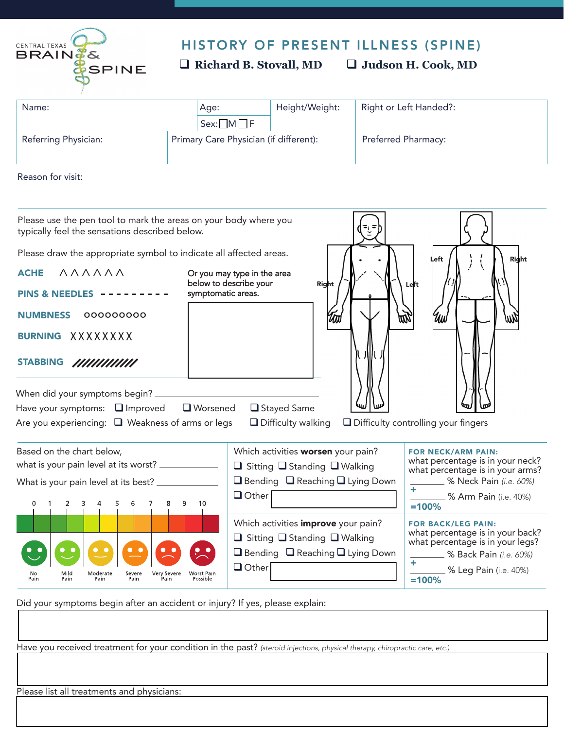

## HISTORY OF PRESENT ILLNESS (SPINE)

 **Richard B. Stovall, MD Judson H. Cook, MD** 

| Name:                |                                        | Age:                 | Height/Weight: | Right or Left Handed?:     |
|----------------------|----------------------------------------|----------------------|----------------|----------------------------|
|                      |                                        | $Sex: \Box M \Box F$ |                |                            |
| Referring Physician: | Primary Care Physician (if different): |                      |                | <b>Preferred Pharmacy:</b> |

Reason for visit:

| Please use the pen tool to mark the areas on your body where you<br>typically feel the sensations described below.<br>Please draw the appropriate symbol to indicate all affected areas. |                                                                                                                                                          | left                                                                                                                                                                       |
|------------------------------------------------------------------------------------------------------------------------------------------------------------------------------------------|----------------------------------------------------------------------------------------------------------------------------------------------------------|----------------------------------------------------------------------------------------------------------------------------------------------------------------------------|
| ハハハハハハ<br><b>ACHE</b><br><b>PINS &amp; NEEDLES</b><br>000000000<br><b>NUMBNESS</b><br>BURNING XXXXXXXX<br><b>STABBING</b><br>//////////////                                              | Or you may type in the area<br>below to describe your<br>Right<br>symptomatic areas.                                                                     | <b>Right</b><br>Left                                                                                                                                                       |
| Have your symptoms: $\Box$ Improved<br><b>■</b> Worsened<br>Are you experiencing: $\Box$ Weakness of arms or legs                                                                        | Stayed Same<br>$\Box$ Difficulty walking                                                                                                                 | $\Box$ Difficulty controlling your fingers                                                                                                                                 |
| Based on the chart below,<br>what is your pain level at its worst? ______________<br>What is your pain level at its best? _<br>2<br>10                                                   | Which activities worsen your pain?<br>$\Box$ Sitting $\Box$ Standing $\Box$ Walking<br>$\Box$ Bending $\Box$ Reaching $\Box$ Lying Down<br>$\Box$ Other  | <b>FOR NECK/ARM PAIN:</b><br>what percentage is in your neck?<br>what percentage is in your arms?<br><b>2008</b> Neck Pain (i.e. 60%)<br>% Arm Pain (i.e. 40%)<br>$=100%$  |
| Mıld<br>Moderate<br>No<br>Severe<br>Very Severe<br>Worst Pain<br>Pain<br>Pain<br>Pain<br>Pain<br>Pain<br>Possible                                                                        | Which activities improve your pain?<br>$\Box$ Sitting $\Box$ Standing $\Box$ Walking<br>$\Box$ Bending $\Box$ Reaching $\Box$ Lying Down<br>$\Box$ Other | <b>FOR BACK/LEG PAIN:</b><br>what percentage is in your back?<br>what percentage is in your legs?<br><b>60%</b> Back Pain (i.e. 60%)<br>_ % Leg Pain (i.e. 40%)<br>$=100%$ |

Did your symptoms begin after an accident or injury? If yes, please explain:

Have you received treatment for your condition in the past? *(steroid injections, physical therapy, chiropractic care, etc.)* 

Please list all treatments and physicians: